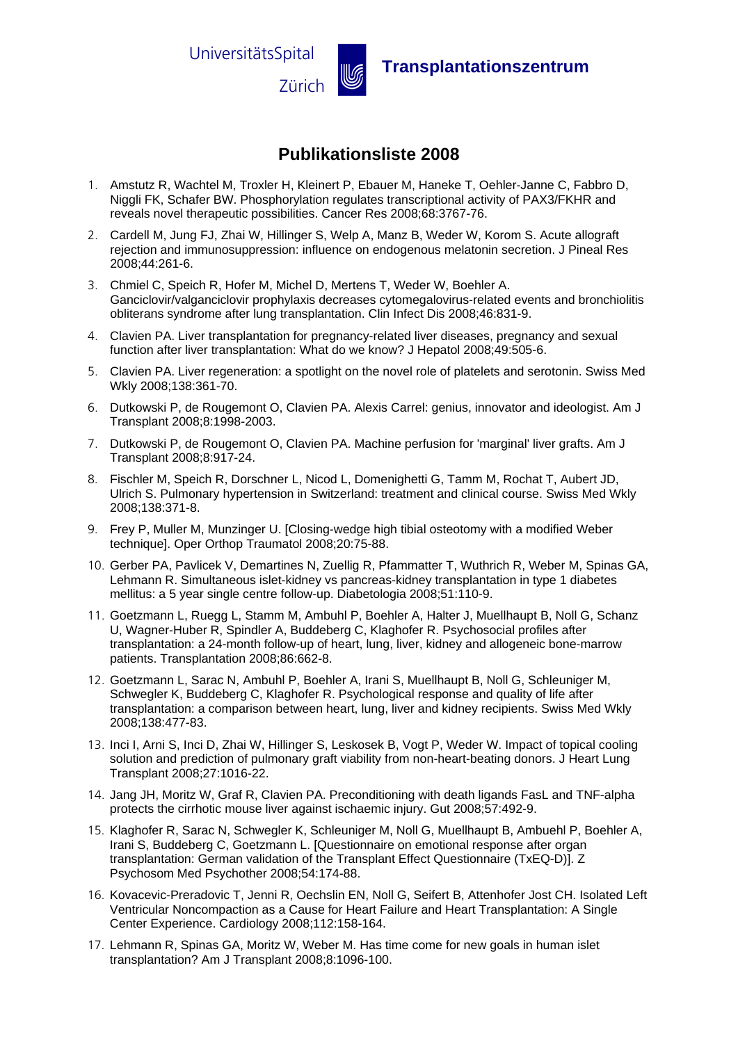

Zürich u **Transplantationszentrum** 

### **Publikationsliste 2008**

- 1. Amstutz R, Wachtel M, Troxler H, Kleinert P, Ebauer M, Haneke T, Oehler-Janne C, Fabbro D, Niggli FK, Schafer BW. Phosphorylation regulates transcriptional activity of PAX3/FKHR and reveals novel therapeutic possibilities. Cancer Res 2008;68:3767-76.
- 2. Cardell M, Jung FJ, Zhai W, Hillinger S, Welp A, Manz B, Weder W, Korom S. Acute allograft rejection and immunosuppression: influence on endogenous melatonin secretion. J Pineal Res 2008;44:261-6.
- 3. Chmiel C, Speich R, Hofer M, Michel D, Mertens T, Weder W, Boehler A. Ganciclovir/valganciclovir prophylaxis decreases cytomegalovirus-related events and bronchiolitis obliterans syndrome after lung transplantation. Clin Infect Dis 2008;46:831-9.
- 4. Clavien PA. Liver transplantation for pregnancy-related liver diseases, pregnancy and sexual function after liver transplantation: What do we know? J Hepatol 2008;49:505-6.
- 5. Clavien PA. Liver regeneration: a spotlight on the novel role of platelets and serotonin. Swiss Med Wkly 2008;138:361-70.
- 6. Dutkowski P, de Rougemont O, Clavien PA. Alexis Carrel: genius, innovator and ideologist. Am J Transplant 2008;8:1998-2003.
- 7. Dutkowski P, de Rougemont O, Clavien PA. Machine perfusion for 'marginal' liver grafts. Am J Transplant 2008;8:917-24.
- 8. Fischler M, Speich R, Dorschner L, Nicod L, Domenighetti G, Tamm M, Rochat T, Aubert JD, Ulrich S. Pulmonary hypertension in Switzerland: treatment and clinical course. Swiss Med Wkly 2008;138:371-8.
- 9. Frey P, Muller M, Munzinger U. [Closing-wedge high tibial osteotomy with a modified Weber technique]. Oper Orthop Traumatol 2008;20:75-88.
- 10. Gerber PA, Pavlicek V, Demartines N, Zuellig R, Pfammatter T, Wuthrich R, Weber M, Spinas GA, Lehmann R. Simultaneous islet-kidney vs pancreas-kidney transplantation in type 1 diabetes mellitus: a 5 year single centre follow-up. Diabetologia 2008;51:110-9.
- 11. Goetzmann L, Ruegg L, Stamm M, Ambuhl P, Boehler A, Halter J, Muellhaupt B, Noll G, Schanz U, Wagner-Huber R, Spindler A, Buddeberg C, Klaghofer R. Psychosocial profiles after transplantation: a 24-month follow-up of heart, lung, liver, kidney and allogeneic bone-marrow patients. Transplantation 2008;86:662-8.
- 12. Goetzmann L, Sarac N, Ambuhl P, Boehler A, Irani S, Muellhaupt B, Noll G, Schleuniger M, Schwegler K, Buddeberg C, Klaghofer R. Psychological response and quality of life after transplantation: a comparison between heart, lung, liver and kidney recipients. Swiss Med Wkly 2008;138:477-83.
- 13. Inci I, Arni S, Inci D, Zhai W, Hillinger S, Leskosek B, Vogt P, Weder W. Impact of topical cooling solution and prediction of pulmonary graft viability from non-heart-beating donors. J Heart Lung Transplant 2008;27:1016-22.
- 14. Jang JH, Moritz W, Graf R, Clavien PA. Preconditioning with death ligands FasL and TNF-alpha protects the cirrhotic mouse liver against ischaemic injury. Gut 2008;57:492-9.
- 15. Klaghofer R, Sarac N, Schwegler K, Schleuniger M, Noll G, Muellhaupt B, Ambuehl P, Boehler A, Irani S, Buddeberg C, Goetzmann L. [Questionnaire on emotional response after organ transplantation: German validation of the Transplant Effect Questionnaire (TxEQ-D)]. Z Psychosom Med Psychother 2008;54:174-88.
- 16. Kovacevic-Preradovic T, Jenni R, Oechslin EN, Noll G, Seifert B, Attenhofer Jost CH. Isolated Left Ventricular Noncompaction as a Cause for Heart Failure and Heart Transplantation: A Single Center Experience. Cardiology 2008;112:158-164.
- 17. Lehmann R, Spinas GA, Moritz W, Weber M. Has time come for new goals in human islet transplantation? Am J Transplant 2008;8:1096-100.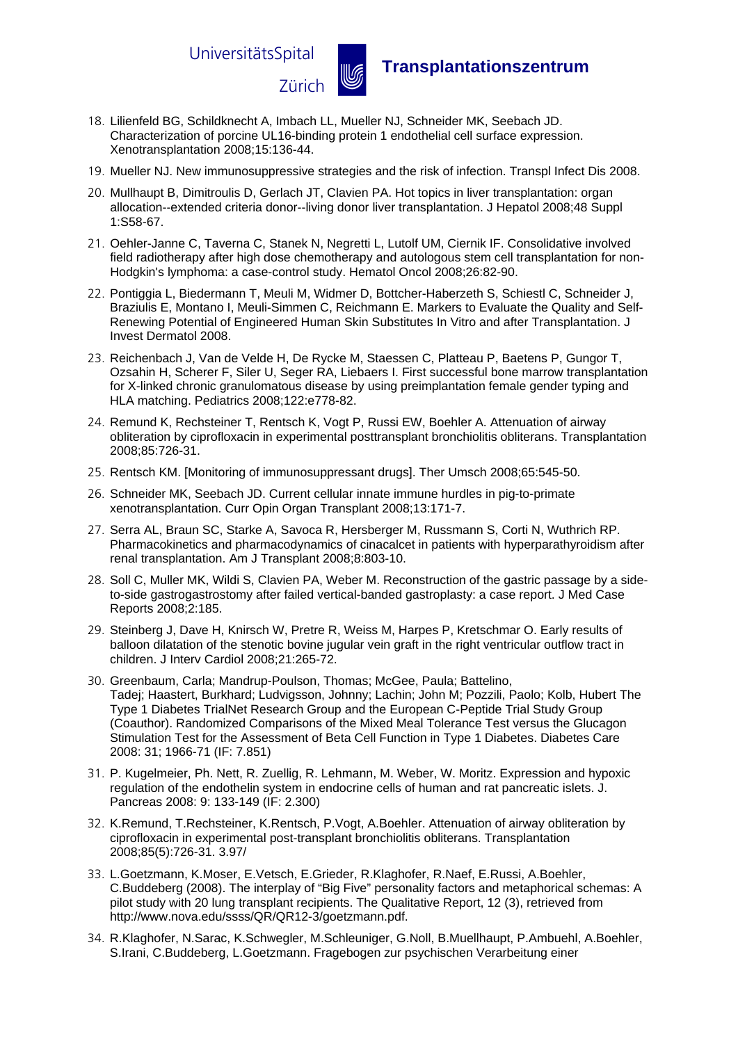

# Zürich u **Transplantationszentrum**

- 18. Lilienfeld BG, Schildknecht A, Imbach LL, Mueller NJ, Schneider MK, Seebach JD. Characterization of porcine UL16-binding protein 1 endothelial cell surface expression. Xenotransplantation 2008;15:136-44.
- 19. Mueller NJ. New immunosuppressive strategies and the risk of infection. Transpl Infect Dis 2008.
- 20. Mullhaupt B, Dimitroulis D, Gerlach JT, Clavien PA. Hot topics in liver transplantation: organ allocation--extended criteria donor--living donor liver transplantation. J Hepatol 2008;48 Suppl 1:S58-67.
- 21. Oehler-Janne C, Taverna C, Stanek N, Negretti L, Lutolf UM, Ciernik IF. Consolidative involved field radiotherapy after high dose chemotherapy and autologous stem cell transplantation for non-Hodgkin's lymphoma: a case-control study. Hematol Oncol 2008;26:82-90.
- 22. Pontiggia L, Biedermann T, Meuli M, Widmer D, Bottcher-Haberzeth S, Schiestl C, Schneider J, Braziulis E, Montano I, Meuli-Simmen C, Reichmann E. Markers to Evaluate the Quality and Self-Renewing Potential of Engineered Human Skin Substitutes In Vitro and after Transplantation. J Invest Dermatol 2008.
- 23. Reichenbach J, Van de Velde H, De Rycke M, Staessen C, Platteau P, Baetens P, Gungor T, Ozsahin H, Scherer F, Siler U, Seger RA, Liebaers I. First successful bone marrow transplantation for X-linked chronic granulomatous disease by using preimplantation female gender typing and HLA matching. Pediatrics 2008;122:e778-82.
- 24. Remund K, Rechsteiner T, Rentsch K, Vogt P, Russi EW, Boehler A. Attenuation of airway obliteration by ciprofloxacin in experimental posttransplant bronchiolitis obliterans. Transplantation 2008;85:726-31.
- 25. Rentsch KM. [Monitoring of immunosuppressant drugs]. Ther Umsch 2008;65:545-50.
- 26. Schneider MK, Seebach JD. Current cellular innate immune hurdles in pig-to-primate xenotransplantation. Curr Opin Organ Transplant 2008;13:171-7.
- 27. Serra AL, Braun SC, Starke A, Savoca R, Hersberger M, Russmann S, Corti N, Wuthrich RP. Pharmacokinetics and pharmacodynamics of cinacalcet in patients with hyperparathyroidism after renal transplantation. Am J Transplant 2008;8:803-10.
- 28. Soll C, Muller MK, Wildi S, Clavien PA, Weber M. Reconstruction of the gastric passage by a sideto-side gastrogastrostomy after failed vertical-banded gastroplasty: a case report. J Med Case Reports 2008;2:185.
- 29. Steinberg J, Dave H, Knirsch W, Pretre R, Weiss M, Harpes P, Kretschmar O. Early results of balloon dilatation of the stenotic bovine jugular vein graft in the right ventricular outflow tract in children. J Interv Cardiol 2008;21:265-72.
- 30. Greenbaum, Carla; Mandrup-Poulson, Thomas; McGee, Paula; Battelino, Tadej; Haastert, Burkhard; Ludvigsson, Johnny; Lachin; John M; Pozzili, Paolo; Kolb, Hubert The Type 1 Diabetes TrialNet Research Group and the European C-Peptide Trial Study Group (Coauthor). Randomized Comparisons of the Mixed Meal Tolerance Test versus the Glucagon Stimulation Test for the Assessment of Beta Cell Function in Type 1 Diabetes. Diabetes Care 2008: 31; 1966-71 (IF: 7.851)
- 31. P. Kugelmeier, Ph. Nett, R. Zuellig, R. Lehmann, M. Weber, W. Moritz. Expression and hypoxic regulation of the endothelin system in endocrine cells of human and rat pancreatic islets. J. Pancreas 2008: 9: 133-149 (IF: 2.300)
- 32. K.Remund, T.Rechsteiner, K.Rentsch, P.Vogt, A.Boehler. Attenuation of airway obliteration by ciprofloxacin in experimental post-transplant bronchiolitis obliterans. Transplantation 2008;85(5):726-31. 3.97/
- 33. L.Goetzmann, K.Moser, E.Vetsch, E.Grieder, R.Klaghofer, R.Naef, E.Russi, A.Boehler, C.Buddeberg (2008). The interplay of "Big Five" personality factors and metaphorical schemas: A pilot study with 20 lung transplant recipients. The Qualitative Report, 12 (3), retrieved from [http://www.nova.edu/ssss/QR/QR12-3/goetzmann.pdf.](http://www.nova.edu/ssss/QR/QR12-3/goetzmann.pdf)
- 34. R.Klaghofer, N.Sarac, K.Schwegler, M.Schleuniger, G.Noll, B.Muellhaupt, P.Ambuehl, A.Boehler, S.Irani, C.Buddeberg, L.Goetzmann. Fragebogen zur psychischen Verarbeitung einer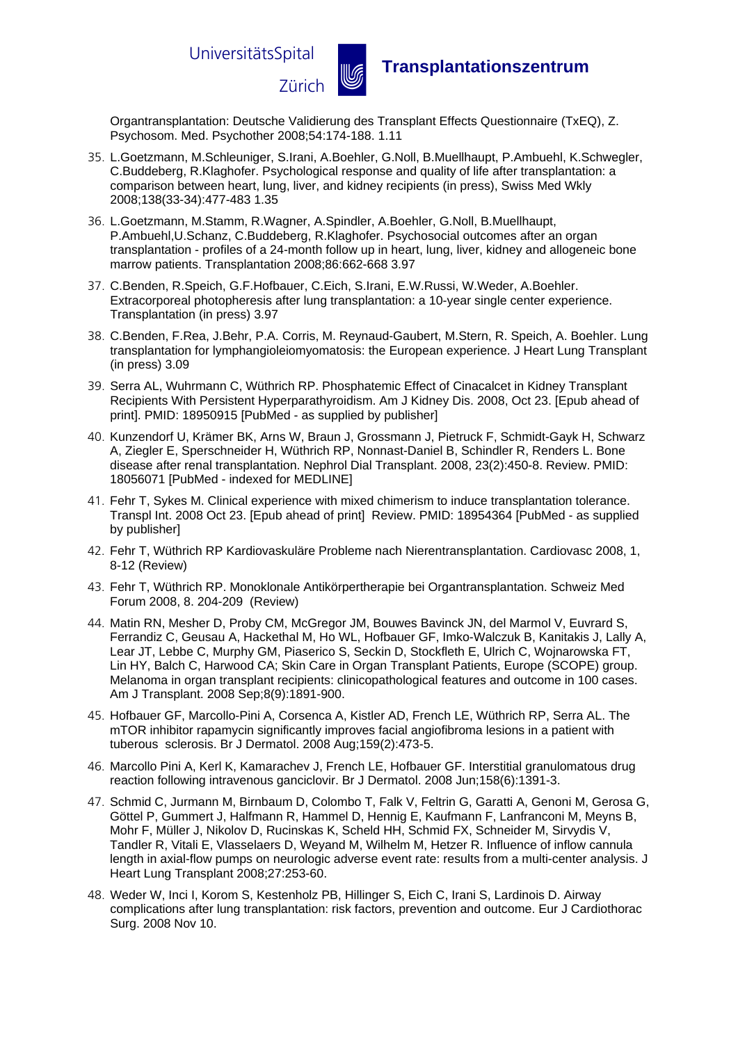

### Zürich u **Transplantationszentrum**

Organtransplantation: Deutsche Validierung des Transplant Effects Questionnaire (TxEQ), Z. Psychosom. Med. Psychother 2008;54:174-188. 1.11

- 35. L.Goetzmann, M.Schleuniger, S.Irani, A.Boehler, G.Noll, B.Muellhaupt, P.Ambuehl, K.Schwegler, C.Buddeberg, R.Klaghofer. Psychological response and quality of life after transplantation: a comparison between heart, lung, liver, and kidney recipients (in press), Swiss Med Wkly 2008;138(33-34):477-483 1.35
- 36. L.Goetzmann, M.Stamm, R.Wagner, A.Spindler, A.Boehler, G.Noll, B.Muellhaupt, P.Ambuehl,U.Schanz, C.Buddeberg, R.Klaghofer. Psychosocial outcomes after an organ transplantation - profiles of a 24-month follow up in heart, lung, liver, kidney and allogeneic bone marrow patients. Transplantation 2008;86:662-668 3.97
- 37. C.Benden, R.Speich, G.F.Hofbauer, C.Eich, S.Irani, E.W.Russi, W.Weder, A.Boehler. Extracorporeal photopheresis after lung transplantation: a 10-year single center experience. Transplantation (in press) 3.97
- 38. C.Benden, F.Rea, J.Behr, P.A. Corris, M. Reynaud-Gaubert, M.Stern, R. Speich, A. Boehler. Lung transplantation for lymphangioleiomyomatosis: the European experience. J Heart Lung Transplant (in press) 3.09
- 39. Serra AL, Wuhrmann C, Wüthrich RP. Phosphatemic Effect of Cinacalcet in Kidney Transplant Recipients With Persistent Hyperparathyroidism. Am J Kidney Dis. 2008, Oct 23. [Epub ahead of print]. PMID: 18950915 [PubMed - as supplied by publisher]
- 40. Kunzendorf U, Krämer BK, Arns W, Braun J, Grossmann J, Pietruck F, Schmidt-Gayk H, Schwarz A, Ziegler E, Sperschneider H, Wüthrich RP, Nonnast-Daniel B, Schindler R, Renders L. Bone disease after renal transplantation. Nephrol Dial Transplant. 2008, 23(2):450-8. Review. PMID: 18056071 [PubMed - indexed for MEDLINE]
- 41. Fehr T, Sykes M. Clinical experience with mixed chimerism to induce transplantation tolerance. Transpl Int. 2008 Oct 23. [Epub ahead of print] Review. PMID: 18954364 [PubMed - as supplied by publisher]
- 42. Fehr T, Wüthrich RP Kardiovaskuläre Probleme nach Nierentransplantation. Cardiovasc 2008, 1, 8-12 (Review)
- 43. Fehr T, Wüthrich RP. Monoklonale Antikörpertherapie bei Organtransplantation. Schweiz Med Forum 2008, 8. 204-209 (Review)
- 44. Matin RN, Mesher D, Proby CM, McGregor JM, Bouwes Bavinck JN, del Marmol V, Euvrard S, Ferrandiz C, Geusau A, Hackethal M, Ho WL, Hofbauer GF, Imko-Walczuk B, Kanitakis J, Lally A, Lear JT, Lebbe C, Murphy GM, Piaserico S, Seckin D, Stockfleth E, Ulrich C, Wojnarowska FT, Lin HY, Balch C, Harwood CA; Skin Care in Organ Transplant Patients, Europe (SCOPE) group. Melanoma in organ transplant recipients: clinicopathological features and outcome in 100 cases. Am J Transplant. 2008 Sep;8(9):1891-900.
- 45. Hofbauer GF, Marcollo-Pini A, Corsenca A, Kistler AD, French LE, Wüthrich RP, Serra AL. The mTOR inhibitor rapamycin significantly improves facial angiofibroma lesions in a patient with tuberous sclerosis. Br J Dermatol. 2008 Aug;159(2):473-5.
- 46. Marcollo Pini A, Kerl K, Kamarachev J, French LE, Hofbauer GF. Interstitial granulomatous drug reaction following intravenous ganciclovir. Br J Dermatol. 2008 Jun;158(6):1391-3.
- 47. [Schmid C,](http://www.ncbi.nlm.nih.gov/sites/entrez?Db=pubmed&Cmd=Search&Term=%22Schmid%20C%22%5BAuthor%5D&itool=EntrezSystem2.PEntrez.Pubmed.Pubmed_ResultsPanel.Pubmed_DiscoveryPanel.Pubmed_RVAbstractPlus) [Jurmann M,](http://www.ncbi.nlm.nih.gov/sites/entrez?Db=pubmed&Cmd=Search&Term=%22Jurmann%20M%22%5BAuthor%5D&itool=EntrezSystem2.PEntrez.Pubmed.Pubmed_ResultsPanel.Pubmed_DiscoveryPanel.Pubmed_RVAbstractPlus) [Birnbaum D,](http://www.ncbi.nlm.nih.gov/sites/entrez?Db=pubmed&Cmd=Search&Term=%22Birnbaum%20D%22%5BAuthor%5D&itool=EntrezSystem2.PEntrez.Pubmed.Pubmed_ResultsPanel.Pubmed_DiscoveryPanel.Pubmed_RVAbstractPlus) [Colombo T,](http://www.ncbi.nlm.nih.gov/sites/entrez?Db=pubmed&Cmd=Search&Term=%22Colombo%20T%22%5BAuthor%5D&itool=EntrezSystem2.PEntrez.Pubmed.Pubmed_ResultsPanel.Pubmed_DiscoveryPanel.Pubmed_RVAbstractPlus) [Falk V,](http://www.ncbi.nlm.nih.gov/sites/entrez?Db=pubmed&Cmd=Search&Term=%22Falk%20V%22%5BAuthor%5D&itool=EntrezSystem2.PEntrez.Pubmed.Pubmed_ResultsPanel.Pubmed_DiscoveryPanel.Pubmed_RVAbstractPlus) [Feltrin G,](http://www.ncbi.nlm.nih.gov/sites/entrez?Db=pubmed&Cmd=Search&Term=%22Feltrin%20G%22%5BAuthor%5D&itool=EntrezSystem2.PEntrez.Pubmed.Pubmed_ResultsPanel.Pubmed_DiscoveryPanel.Pubmed_RVAbstractPlus) [Garatti A,](http://www.ncbi.nlm.nih.gov/sites/entrez?Db=pubmed&Cmd=Search&Term=%22Garatti%20A%22%5BAuthor%5D&itool=EntrezSystem2.PEntrez.Pubmed.Pubmed_ResultsPanel.Pubmed_DiscoveryPanel.Pubmed_RVAbstractPlus) [Genoni M,](http://www.ncbi.nlm.nih.gov/sites/entrez?Db=pubmed&Cmd=Search&Term=%22Genoni%20M%22%5BAuthor%5D&itool=EntrezSystem2.PEntrez.Pubmed.Pubmed_ResultsPanel.Pubmed_DiscoveryPanel.Pubmed_RVAbstractPlus) [Gerosa G,](http://www.ncbi.nlm.nih.gov/sites/entrez?Db=pubmed&Cmd=Search&Term=%22Gerosa%20G%22%5BAuthor%5D&itool=EntrezSystem2.PEntrez.Pubmed.Pubmed_ResultsPanel.Pubmed_DiscoveryPanel.Pubmed_RVAbstractPlus) [Göttel P,](http://www.ncbi.nlm.nih.gov/sites/entrez?Db=pubmed&Cmd=Search&Term=%22G%C3%B6ttel%20P%22%5BAuthor%5D&itool=EntrezSystem2.PEntrez.Pubmed.Pubmed_ResultsPanel.Pubmed_DiscoveryPanel.Pubmed_RVAbstractPlus) [Gummert J,](http://www.ncbi.nlm.nih.gov/sites/entrez?Db=pubmed&Cmd=Search&Term=%22Gummert%20J%22%5BAuthor%5D&itool=EntrezSystem2.PEntrez.Pubmed.Pubmed_ResultsPanel.Pubmed_DiscoveryPanel.Pubmed_RVAbstractPlus) [Halfmann R,](http://www.ncbi.nlm.nih.gov/sites/entrez?Db=pubmed&Cmd=Search&Term=%22Halfmann%20R%22%5BAuthor%5D&itool=EntrezSystem2.PEntrez.Pubmed.Pubmed_ResultsPanel.Pubmed_DiscoveryPanel.Pubmed_RVAbstractPlus) [Hammel D,](http://www.ncbi.nlm.nih.gov/sites/entrez?Db=pubmed&Cmd=Search&Term=%22Hammel%20D%22%5BAuthor%5D&itool=EntrezSystem2.PEntrez.Pubmed.Pubmed_ResultsPanel.Pubmed_DiscoveryPanel.Pubmed_RVAbstractPlus) [Hennig E,](http://www.ncbi.nlm.nih.gov/sites/entrez?Db=pubmed&Cmd=Search&Term=%22Hennig%20E%22%5BAuthor%5D&itool=EntrezSystem2.PEntrez.Pubmed.Pubmed_ResultsPanel.Pubmed_DiscoveryPanel.Pubmed_RVAbstractPlus) [Kaufmann F,](http://www.ncbi.nlm.nih.gov/sites/entrez?Db=pubmed&Cmd=Search&Term=%22Kaufmann%20F%22%5BAuthor%5D&itool=EntrezSystem2.PEntrez.Pubmed.Pubmed_ResultsPanel.Pubmed_DiscoveryPanel.Pubmed_RVAbstractPlus) [Lanfranconi M,](http://www.ncbi.nlm.nih.gov/sites/entrez?Db=pubmed&Cmd=Search&Term=%22Lanfranconi%20M%22%5BAuthor%5D&itool=EntrezSystem2.PEntrez.Pubmed.Pubmed_ResultsPanel.Pubmed_DiscoveryPanel.Pubmed_RVAbstractPlus) [Meyns B,](http://www.ncbi.nlm.nih.gov/sites/entrez?Db=pubmed&Cmd=Search&Term=%22Meyns%20B%22%5BAuthor%5D&itool=EntrezSystem2.PEntrez.Pubmed.Pubmed_ResultsPanel.Pubmed_DiscoveryPanel.Pubmed_RVAbstractPlus) [Mohr F,](http://www.ncbi.nlm.nih.gov/sites/entrez?Db=pubmed&Cmd=Search&Term=%22Mohr%20F%22%5BAuthor%5D&itool=EntrezSystem2.PEntrez.Pubmed.Pubmed_ResultsPanel.Pubmed_DiscoveryPanel.Pubmed_RVAbstractPlus) [Müller J,](http://www.ncbi.nlm.nih.gov/sites/entrez?Db=pubmed&Cmd=Search&Term=%22M%C3%BCller%20J%22%5BAuthor%5D&itool=EntrezSystem2.PEntrez.Pubmed.Pubmed_ResultsPanel.Pubmed_DiscoveryPanel.Pubmed_RVAbstractPlus) [Nikolov D,](http://www.ncbi.nlm.nih.gov/sites/entrez?Db=pubmed&Cmd=Search&Term=%22Nikolov%20D%22%5BAuthor%5D&itool=EntrezSystem2.PEntrez.Pubmed.Pubmed_ResultsPanel.Pubmed_DiscoveryPanel.Pubmed_RVAbstractPlus) [Rucinskas K,](http://www.ncbi.nlm.nih.gov/sites/entrez?Db=pubmed&Cmd=Search&Term=%22Rucinskas%20K%22%5BAuthor%5D&itool=EntrezSystem2.PEntrez.Pubmed.Pubmed_ResultsPanel.Pubmed_DiscoveryPanel.Pubmed_RVAbstractPlus) [Scheld HH,](http://www.ncbi.nlm.nih.gov/sites/entrez?Db=pubmed&Cmd=Search&Term=%22Scheld%20HH%22%5BAuthor%5D&itool=EntrezSystem2.PEntrez.Pubmed.Pubmed_ResultsPanel.Pubmed_DiscoveryPanel.Pubmed_RVAbstractPlus) [Schmid](http://www.ncbi.nlm.nih.gov/sites/entrez?Db=pubmed&Cmd=Search&Term=%22Schmid%20FX%22%5BAuthor%5D&itool=EntrezSystem2.PEntrez.Pubmed.Pubmed_ResultsPanel.Pubmed_DiscoveryPanel.Pubmed_RVAbstractPlus) FX, [Schneider M,](http://www.ncbi.nlm.nih.gov/sites/entrez?Db=pubmed&Cmd=Search&Term=%22Schneider%20M%22%5BAuthor%5D&itool=EntrezSystem2.PEntrez.Pubmed.Pubmed_ResultsPanel.Pubmed_DiscoveryPanel.Pubmed_RVAbstractPlus) [Sirvydis V,](http://www.ncbi.nlm.nih.gov/sites/entrez?Db=pubmed&Cmd=Search&Term=%22Sirvydis%20V%22%5BAuthor%5D&itool=EntrezSystem2.PEntrez.Pubmed.Pubmed_ResultsPanel.Pubmed_DiscoveryPanel.Pubmed_RVAbstractPlus) [Tandler R,](http://www.ncbi.nlm.nih.gov/sites/entrez?Db=pubmed&Cmd=Search&Term=%22Tandler%20R%22%5BAuthor%5D&itool=EntrezSystem2.PEntrez.Pubmed.Pubmed_ResultsPanel.Pubmed_DiscoveryPanel.Pubmed_RVAbstractPlus) [Vitali E,](http://www.ncbi.nlm.nih.gov/sites/entrez?Db=pubmed&Cmd=Search&Term=%22Vitali%20E%22%5BAuthor%5D&itool=EntrezSystem2.PEntrez.Pubmed.Pubmed_ResultsPanel.Pubmed_DiscoveryPanel.Pubmed_RVAbstractPlus) [Vlasselaers D,](http://www.ncbi.nlm.nih.gov/sites/entrez?Db=pubmed&Cmd=Search&Term=%22Vlasselaers%20D%22%5BAuthor%5D&itool=EntrezSystem2.PEntrez.Pubmed.Pubmed_ResultsPanel.Pubmed_DiscoveryPanel.Pubmed_RVAbstractPlus) [Weyand M,](http://www.ncbi.nlm.nih.gov/sites/entrez?Db=pubmed&Cmd=Search&Term=%22Weyand%20M%22%5BAuthor%5D&itool=EntrezSystem2.PEntrez.Pubmed.Pubmed_ResultsPanel.Pubmed_DiscoveryPanel.Pubmed_RVAbstractPlus) [Wilhelm M,](http://www.ncbi.nlm.nih.gov/sites/entrez?Db=pubmed&Cmd=Search&Term=%22Wilhelm%20M%22%5BAuthor%5D&itool=EntrezSystem2.PEntrez.Pubmed.Pubmed_ResultsPanel.Pubmed_DiscoveryPanel.Pubmed_RVAbstractPlus) [Hetzer R.](http://www.ncbi.nlm.nih.gov/sites/entrez?Db=pubmed&Cmd=Search&Term=%22Hetzer%20R%22%5BAuthor%5D&itool=EntrezSystem2.PEntrez.Pubmed.Pubmed_ResultsPanel.Pubmed_DiscoveryPanel.Pubmed_RVAbstractPlus) Influence of inflow cannula length in axial-flow pumps on neurologic adverse event rate: results from a multi-center analysis. J Heart Lung Transplant 2008;27:253-60.
- 48. Weder W, Inci I, Korom S, Kestenholz PB, Hillinger S, Eich C, Irani S, Lardinois D. Airway complications after lung transplantation: risk factors, prevention and outcome. Eur J Cardiothorac Surg. 2008 Nov 10.